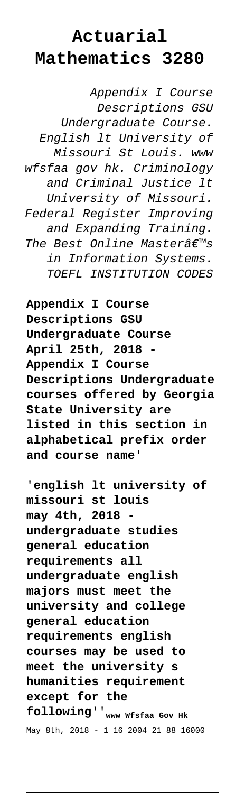## **Actuarial Mathematics 3280**

Appendix I Course Descriptions GSU Undergraduate Course. English lt University of Missouri St Louis. www wfsfaa gov hk. Criminology and Criminal Justice lt University of Missouri. Federal Register Improving and Expanding Training. The Best Online Master's in Information Systems. TOEFL INSTITUTION CODES

**Appendix I Course Descriptions GSU Undergraduate Course** April 25th, 2018 **Appendix I Course Descriptions Undergraduate courses offered by Georgia State University are listed in this section in alphabetical prefix order and course name**'

'**english lt university of missouri st louis may 4th, 2018 undergraduate studies general education requirements all undergraduate english majors must meet the university and college general education requirements english courses may be used to meet the university s humanities requirement except for the following**''**www Wfsfaa Gov Hk** May 8th, 2018 - 1 16 2004 21 88 16000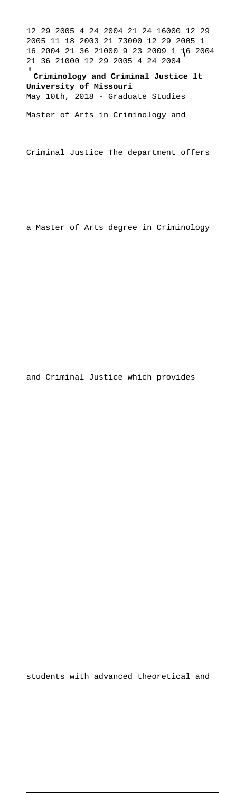12 29 2005 4 24 2004 21 24 16000 12 29 2005 11 18 2003 21 73000 12 29 2005 1 16 2004 21 36 21000 9 23 2009 1 16 2004 21 36 21000 12 29 2005 4 24 2004'

'**Criminology and Criminal Justice lt University of Missouri** May 10th, 2018 - Graduate Studies

Master of Arts in Criminology and

Criminal Justice The department offers

a Master of Arts degree in Criminology

and Criminal Justice which provides

students with advanced theoretical and